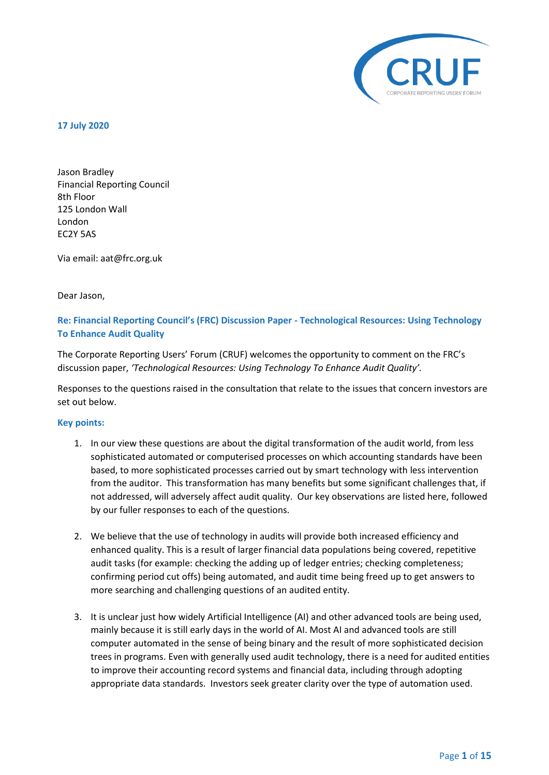

**17 July 2020** 

Jason Bradley Financial Reporting Council 8th Floor 125 London Wall London EC2Y 5AS

Via email: aat@frc.org.uk

Dear Jason,

### **Re: Financial Reporting Council's (FRC) Discussion Paper - Technological Resources: Using Technology To Enhance Audit Quality**

The Corporate Reporting Users' Forum (CRUF) welcomes the opportunity to comment on the FRC's discussion paper, *'Technological Resources: Using Technology To Enhance Audit Quality'.*

Responses to the questions raised in the consultation that relate to the issues that concern investors are set out below.

#### **Key points:**

- 1. In our view these questions are about the digital transformation of the audit world, from less sophisticated automated or computerised processes on which accounting standards have been based, to more sophisticated processes carried out by smart technology with less intervention from the auditor. This transformation has many benefits but some significant challenges that, if not addressed, will adversely affect audit quality. Our key observations are listed here, followed by our fuller responses to each of the questions.
- 2. We believe that the use of technology in audits will provide both increased efficiency and enhanced quality. This is a result of larger financial data populations being covered, repetitive audit tasks (for example: checking the adding up of ledger entries; checking completeness; confirming period cut offs) being automated, and audit time being freed up to get answers to more searching and challenging questions of an audited entity.
- 3. It is unclear just how widely Artificial Intelligence (AI) and other advanced tools are being used, mainly because it is still early days in the world of AI. Most AI and advanced tools are still computer automated in the sense of being binary and the result of more sophisticated decision trees in programs. Even with generally used audit technology, there is a need for audited entities to improve their accounting record systems and financial data, including through adopting appropriate data standards. Investors seek greater clarity over the type of automation used.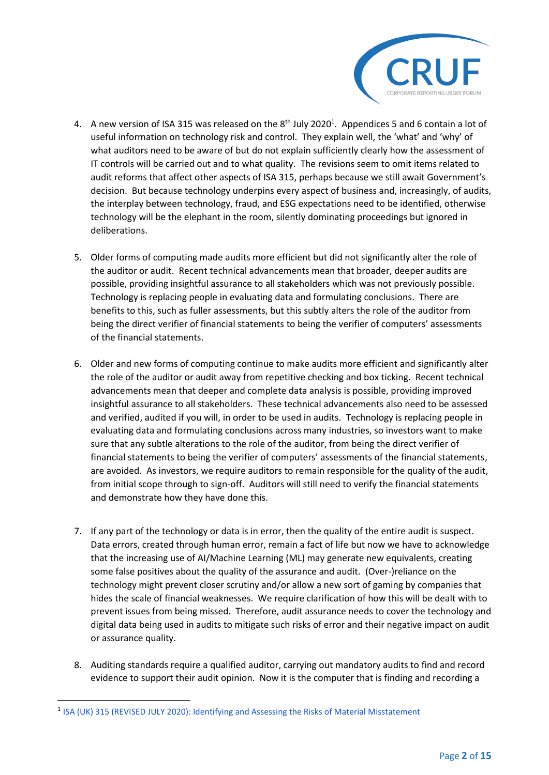

- 4. A new version of ISA 315 was released on the  $8<sup>th</sup>$  July 2020<sup>1</sup>. Appendices 5 and 6 contain a lot of useful information on technology risk and control. They explain well, the 'what' and 'why' of what auditors need to be aware of but do not explain sufficiently clearly how the assessment of IT controls will be carried out and to what quality. The revisions seem to omit items related to audit reforms that affect other aspects of ISA 315, perhaps because we still await Government's decision. But because technology underpins every aspect of business and, increasingly, of audits, the interplay between technology, fraud, and ESG expectations need to be identified, otherwise technology will be the elephant in the room, silently dominating proceedings but ignored in deliberations.
- 5. Older forms of computing made audits more efficient but did not significantly alter the role of the auditor or audit. Recent technical advancements mean that broader, deeper audits are possible, providing insightful assurance to all stakeholders which was not previously possible. Technology is replacing people in evaluating data and formulating conclusions. There are benefits to this, such as fuller assessments, but this subtly alters the role of the auditor from being the direct verifier of financial statements to being the verifier of computers' assessments of the financial statements.
- 6. Older and new forms of computing continue to make audits more efficient and significantly alter the role of the auditor or audit away from repetitive checking and box ticking. Recent technical advancements mean that deeper and complete data analysis is possible, providing improved insightful assurance to all stakeholders. These technical advancements also need to be assessed and verified, audited if you will, in order to be used in audits. Technology is replacing people in evaluating data and formulating conclusions across many industries, so investors want to make sure that any subtle alterations to the role of the auditor, from being the direct verifier of financial statements to being the verifier of computers' assessments of the financial statements, are avoided. As investors, we require auditors to remain responsible for the quality of the audit, from initial scope through to sign-off. Auditors will still need to verify the financial statements and demonstrate how they have done this.
- 7. If any part of the technology or data is in error, then the quality of the entire audit is suspect. Data errors, created through human error, remain a fact of life but now we have to acknowledge that the increasing use of AI/Machine Learning (ML) may generate new equivalents, creating some false positives about the quality of the assurance and audit. (Over-)reliance on the technology might prevent closer scrutiny and/or allow a new sort of gaming by companies that hides the scale of financial weaknesses. We require clarification of how this will be dealt with to prevent issues from being missed. Therefore, audit assurance needs to cover the technology and digital data being used in audits to mitigate such risks of error and their negative impact on audit or assurance quality.
- 8. Auditing standards require a qualified auditor, carrying out mandatory audits to find and record evidence to support their audit opinion. Now it is the computer that is finding and recording a

<sup>&</sup>lt;sup>1</sup> [ISA \(UK\) 315 \(REVISED JULY 2020\): Identifying and Assessing the Risks of Material Misstatement](https://www.frc.org.uk/getattachment/a23392ac-9063-4f13-a064-23b879f5321c/ISA-(UK)-315-Jul-2020.pdf)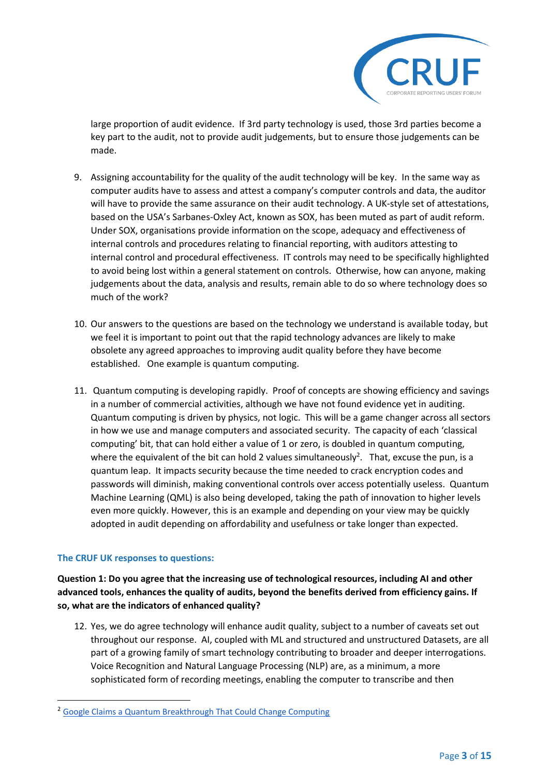

large proportion of audit evidence. If 3rd party technology is used, those 3rd parties become a key part to the audit, not to provide audit judgements, but to ensure those judgements can be made.

- 9. Assigning accountability for the quality of the audit technology will be key. In the same way as computer audits have to assess and attest a company's computer controls and data, the auditor will have to provide the same assurance on their audit technology. A UK-style set of attestations, based on the USA's Sarbanes-Oxley Act, known as SOX, has been muted as part of audit reform. Under SOX, organisations provide information on the scope, adequacy and effectiveness of internal controls and procedures relating to financial reporting, with auditors attesting to internal control and procedural effectiveness. IT controls may need to be specifically highlighted to avoid being lost within a general statement on controls. Otherwise, how can anyone, making judgements about the data, analysis and results, remain able to do so where technology does so much of the work?
- 10. Our answers to the questions are based on the technology we understand is available today, but we feel it is important to point out that the rapid technology advances are likely to make obsolete any agreed approaches to improving audit quality before they have become established. One example is quantum computing.
- 11. Quantum computing is developing rapidly. Proof of concepts are showing efficiency and savings in a number of commercial activities, although we have not found evidence yet in auditing. Quantum computing is driven by physics, not logic. This will be a game changer across all sectors in how we use and manage computers and associated security. The capacity of each 'classical computing' bit, that can hold either a value of 1 or zero, is doubled in quantum computing, where the equivalent of the bit can hold 2 values simultaneously<sup>2</sup>. That, excuse the pun, is a quantum leap. It impacts security because the time needed to crack encryption codes and passwords will diminish, making conventional controls over access potentially useless. Quantum Machine Learning (QML) is also being developed, taking the path of innovation to higher levels even more quickly. However, this is an example and depending on your view may be quickly adopted in audit depending on affordability and usefulness or take longer than expected.

#### **The CRUF UK responses to questions:**

**Question 1: Do you agree that the increasing use of technological resources, including AI and other advanced tools, enhances the quality of audits, beyond the benefits derived from efficiency gains. If so, what are the indicators of enhanced quality?**

12. Yes, we do agree technology will enhance audit quality, subject to a number of caveats set out throughout our response. AI, coupled with ML and structured and unstructured Datasets, are all part of a growing family of smart technology contributing to broader and deeper interrogations. Voice Recognition and Natural Language Processing (NLP) are, as a minimum, a more sophisticated form of recording meetings, enabling the computer to transcribe and then

<sup>&</sup>lt;sup>2</sup> [Google Claims a Quantum Breakthrough That Could Change Computing](https://www.nytimes.com/2019/10/23/technology/quantum-computing-google.html)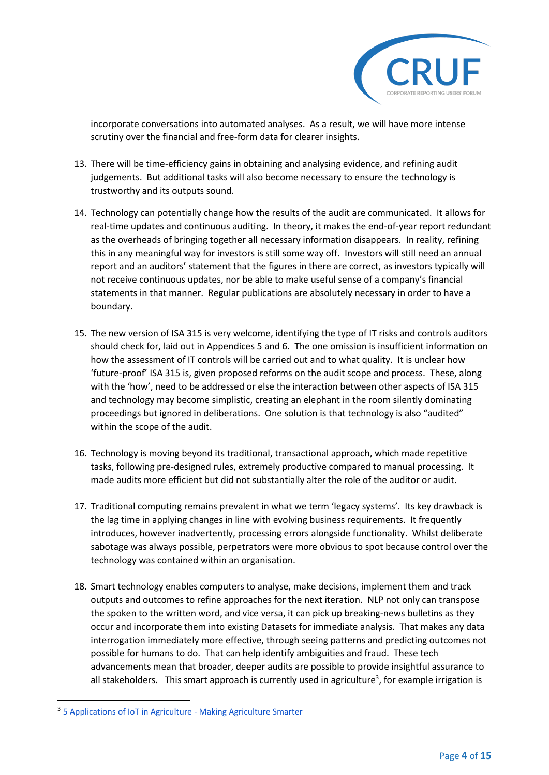

incorporate conversations into automated analyses. As a result, we will have more intense scrutiny over the financial and free-form data for clearer insights.

- 13. There will be time-efficiency gains in obtaining and analysing evidence, and refining audit judgements. But additional tasks will also become necessary to ensure the technology is trustworthy and its outputs sound.
- 14. Technology can potentially change how the results of the audit are communicated. It allows for real-time updates and continuous auditing. In theory, it makes the end-of-year report redundant as the overheads of bringing together all necessary information disappears. In reality, refining this in any meaningful way for investors is still some way off. Investors will still need an annual report and an auditors' statement that the figures in there are correct, as investors typically will not receive continuous updates, nor be able to make useful sense of a company's financial statements in that manner. Regular publications are absolutely necessary in order to have a boundary.
- 15. The new version of ISA 315 is very welcome, identifying the type of IT risks and controls auditors should check for, laid out in Appendices 5 and 6. The one omission is insufficient information on how the assessment of IT controls will be carried out and to what quality. It is unclear how 'future-proof' ISA 315 is, given proposed reforms on the audit scope and process. These, along with the 'how', need to be addressed or else the interaction between other aspects of ISA 315 and technology may become simplistic, creating an elephant in the room silently dominating proceedings but ignored in deliberations. One solution is that technology is also "audited" within the scope of the audit.
- 16. Technology is moving beyond its traditional, transactional approach, which made repetitive tasks, following pre-designed rules, extremely productive compared to manual processing. It made audits more efficient but did not substantially alter the role of the auditor or audit.
- 17. Traditional computing remains prevalent in what we term 'legacy systems'. Its key drawback is the lag time in applying changes in line with evolving business requirements. It frequently introduces, however inadvertently, processing errors alongside functionality. Whilst deliberate sabotage was always possible, perpetrators were more obvious to spot because control over the technology was contained within an organisation.
- 18. Smart technology enables computers to analyse, make decisions, implement them and track outputs and outcomes to refine approaches for the next iteration. NLP not only can transpose the spoken to the written word, and vice versa, it can pick up breaking-news bulletins as they occur and incorporate them into existing Datasets for immediate analysis. That makes any data interrogation immediately more effective, through seeing patterns and predicting outcomes not possible for humans to do. That can help identify ambiguities and fraud. These tech advancements mean that broader, deeper audits are possible to provide insightful assurance to all stakeholders. This smart approach is currently used in agriculture<sup>3</sup>, for example irrigation is

<sup>&</sup>lt;sup>3</sup> [5 Applications of IoT in Agriculture -](https://www.biz4intellia.com/blog/5-applications-of-iot-in-agriculture/) Making Agriculture Smarter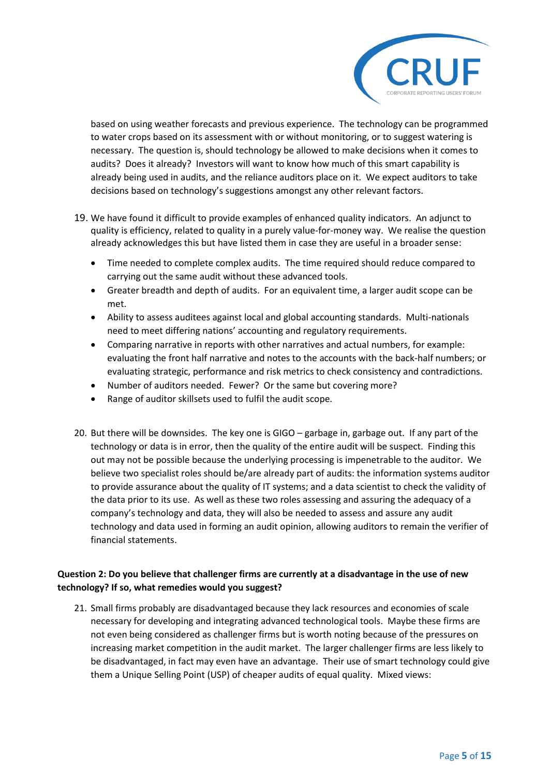

based on using weather forecasts and previous experience. The technology can be programmed to water crops based on its assessment with or without monitoring, or to suggest watering is necessary. The question is, should technology be allowed to make decisions when it comes to audits? Does it already? Investors will want to know how much of this smart capability is already being used in audits, and the reliance auditors place on it. We expect auditors to take decisions based on technology's suggestions amongst any other relevant factors.

- 19. We have found it difficult to provide examples of enhanced quality indicators. An adjunct to quality is efficiency, related to quality in a purely value-for-money way. We realise the question already acknowledges this but have listed them in case they are useful in a broader sense:
	- Time needed to complete complex audits. The time required should reduce compared to carrying out the same audit without these advanced tools.
	- Greater breadth and depth of audits. For an equivalent time, a larger audit scope can be met.
	- Ability to assess auditees against local and global accounting standards. Multi-nationals need to meet differing nations' accounting and regulatory requirements.
	- Comparing narrative in reports with other narratives and actual numbers, for example: evaluating the front half narrative and notes to the accounts with the back-half numbers; or evaluating strategic, performance and risk metrics to check consistency and contradictions.
	- Number of auditors needed. Fewer? Or the same but covering more?
	- Range of auditor skillsets used to fulfil the audit scope.
- 20. But there will be downsides. The key one is GIGO garbage in, garbage out. If any part of the technology or data is in error, then the quality of the entire audit will be suspect. Finding this out may not be possible because the underlying processing is impenetrable to the auditor. We believe two specialist roles should be/are already part of audits: the information systems auditor to provide assurance about the quality of IT systems; and a data scientist to check the validity of the data prior to its use. As well as these two roles assessing and assuring the adequacy of a company's technology and data, they will also be needed to assess and assure any audit technology and data used in forming an audit opinion, allowing auditors to remain the verifier of financial statements.

# **Question 2: Do you believe that challenger firms are currently at a disadvantage in the use of new technology? If so, what remedies would you suggest?**

21. Small firms probably are disadvantaged because they lack resources and economies of scale necessary for developing and integrating advanced technological tools. Maybe these firms are not even being considered as challenger firms but is worth noting because of the pressures on increasing market competition in the audit market. The larger challenger firms are less likely to be disadvantaged, in fact may even have an advantage. Their use of smart technology could give them a Unique Selling Point (USP) of cheaper audits of equal quality. Mixed views: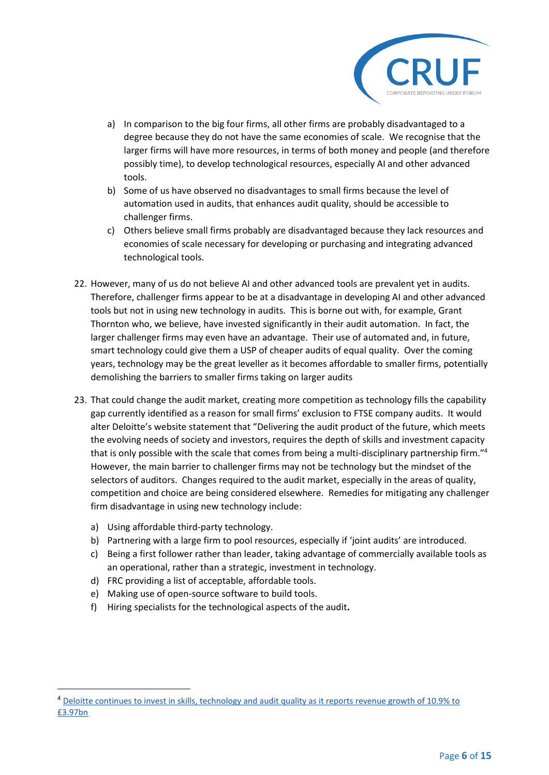

- a) In comparison to the big four firms, all other firms are probably disadvantaged to a degree because they do not have the same economies of scale. We recognise that the larger firms will have more resources, in terms of both money and people (and therefore possibly time), to develop technological resources, especially AI and other advanced tools.
- b) Some of us have observed no disadvantages to small firms because the level of automation used in audits, that enhances audit quality, should be accessible to challenger firms.
- c) Others believe small firms probably are disadvantaged because they lack resources and economies of scale necessary for developing or purchasing and integrating advanced technological tools.
- 22. However, many of us do not believe AI and other advanced tools are prevalent yet in audits. Therefore, challenger firms appear to be at a disadvantage in developing AI and other advanced tools but not in using new technology in audits. This is borne out with, for example, Grant Thornton who, we believe, have invested significantly in their audit automation. In fact, the larger challenger firms may even have an advantage. Their use of automated and, in future, smart technology could give them a USP of cheaper audits of equal quality. Over the coming years, technology may be the great leveller as it becomes affordable to smaller firms, potentially demolishing the barriers to smaller firms taking on larger audits
- 23. That could change the audit market, creating more competition as technology fills the capability gap currently identified as a reason for small firms' exclusion to FTSE company audits. It would alter Deloitte's website statement that "Delivering the audit product of the future, which meets the evolving needs of society and investors, requires the depth of skills and investment capacity that is only possible with the scale that comes from being a multi-disciplinary partnership firm."<sup>4</sup> However, the main barrier to challenger firms may not be technology but the mindset of the selectors of auditors. Changes required to the audit market, especially in the areas of quality, competition and choice are being considered elsewhere. Remedies for mitigating any challenger firm disadvantage in using new technology include:
	- a) Using affordable third-party technology.
	- b) Partnering with a large firm to pool resources, especially if 'joint audits' are introduced.
	- c) Being a first follower rather than leader, taking advantage of commercially available tools as an operational, rather than a strategic, investment in technology.
	- d) FRC providing a list of acceptable, affordable tools.
	- e) Making use of open-source software to build tools.
	- f) Hiring specialists for the technological aspects of the audit**.**

<sup>&</sup>lt;sup>4</sup> Deloitte continues to invest in skills, technology and audit quality as it reports revenue growth of 10.9% to [£3.97bn](https://www2.deloitte.com/uk/en/pages/press-releases/articles/deloitte-continues-to-invest-in-skills-technology-and-audit-quality.html)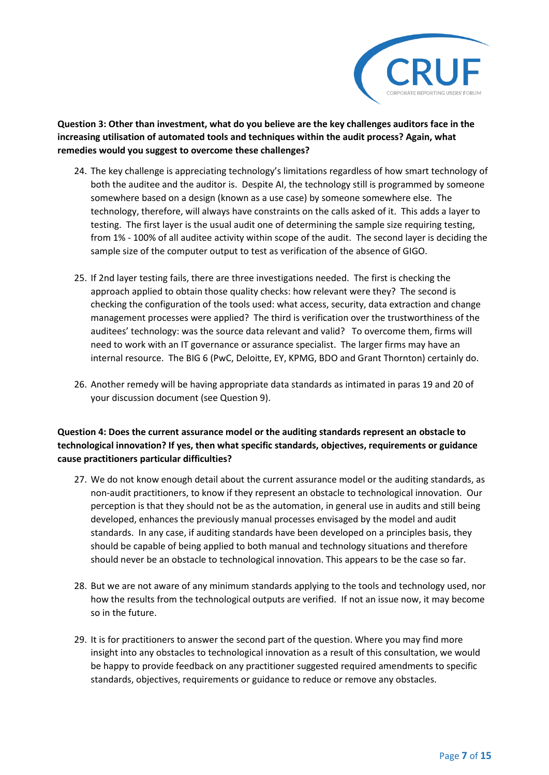

**Question 3: Other than investment, what do you believe are the key challenges auditors face in the increasing utilisation of automated tools and techniques within the audit process? Again, what remedies would you suggest to overcome these challenges?**

- 24. The key challenge is appreciating technology's limitations regardless of how smart technology of both the auditee and the auditor is. Despite AI, the technology still is programmed by someone somewhere based on a design (known as a use case) by someone somewhere else. The technology, therefore, will always have constraints on the calls asked of it. This adds a layer to testing. The first layer is the usual audit one of determining the sample size requiring testing, from 1% - 100% of all auditee activity within scope of the audit. The second layer is deciding the sample size of the computer output to test as verification of the absence of GIGO.
- 25. If 2nd layer testing fails, there are three investigations needed. The first is checking the approach applied to obtain those quality checks: how relevant were they? The second is checking the configuration of the tools used: what access, security, data extraction and change management processes were applied? The third is verification over the trustworthiness of the auditees' technology: was the source data relevant and valid? To overcome them, firms will need to work with an IT governance or assurance specialist. The larger firms may have an internal resource. The BIG 6 (PwC, Deloitte, EY, KPMG, BDO and Grant Thornton) certainly do.
- 26. Another remedy will be having appropriate data standards as intimated in paras 19 and 20 of your discussion document (see Question 9).

### **Question 4: Does the current assurance model or the auditing standards represent an obstacle to technological innovation? If yes, then what specific standards, objectives, requirements or guidance cause practitioners particular difficulties?**

- 27. We do not know enough detail about the current assurance model or the auditing standards, as non-audit practitioners, to know if they represent an obstacle to technological innovation. Our perception is that they should not be as the automation, in general use in audits and still being developed, enhances the previously manual processes envisaged by the model and audit standards. In any case, if auditing standards have been developed on a principles basis, they should be capable of being applied to both manual and technology situations and therefore should never be an obstacle to technological innovation. This appears to be the case so far.
- 28. But we are not aware of any minimum standards applying to the tools and technology used, nor how the results from the technological outputs are verified. If not an issue now, it may become so in the future.
- 29. It is for practitioners to answer the second part of the question. Where you may find more insight into any obstacles to technological innovation as a result of this consultation, we would be happy to provide feedback on any practitioner suggested required amendments to specific standards, objectives, requirements or guidance to reduce or remove any obstacles.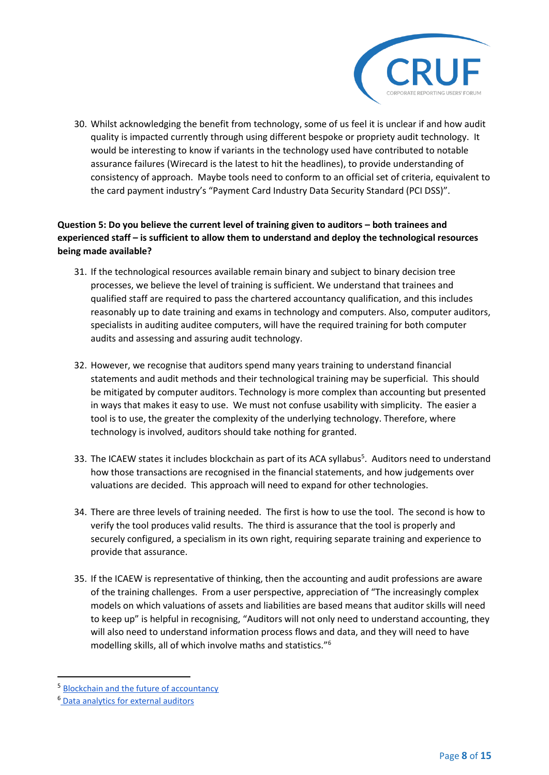

30. Whilst acknowledging the benefit from technology, some of us feel it is unclear if and how audit quality is impacted currently through using different bespoke or propriety audit technology. It would be interesting to know if variants in the technology used have contributed to notable assurance failures (Wirecard is the latest to hit the headlines), to provide understanding of consistency of approach. Maybe tools need to conform to an official set of criteria, equivalent to the card payment industry's "Payment Card Industry Data Security Standard (PCI DSS)".

# **Question 5: Do you believe the current level of training given to auditors – both trainees and experienced staff – is sufficient to allow them to understand and deploy the technological resources being made available?**

- 31. If the technological resources available remain binary and subject to binary decision tree processes, we believe the level of training is sufficient. We understand that trainees and qualified staff are required to pass the chartered accountancy qualification, and this includes reasonably up to date training and exams in technology and computers. Also, computer auditors, specialists in auditing auditee computers, will have the required training for both computer audits and assessing and assuring audit technology.
- 32. However, we recognise that auditors spend many years training to understand financial statements and audit methods and their technological training may be superficial. This should be mitigated by computer auditors. Technology is more complex than accounting but presented in ways that makes it easy to use. We must not confuse usability with simplicity. The easier a tool is to use, the greater the complexity of the underlying technology. Therefore, where technology is involved, auditors should take nothing for granted.
- 33. The ICAEW states it includes blockchain as part of its ACA syllabus<sup>5</sup>. Auditors need to understand how those transactions are recognised in the financial statements, and how judgements over valuations are decided. This approach will need to expand for other technologies.
- 34. There are three levels of training needed. The first is how to use the tool. The second is how to verify the tool produces valid results. The third is assurance that the tool is properly and securely configured, a specialism in its own right, requiring separate training and experience to provide that assurance.
- 35. If the ICAEW is representative of thinking, then the accounting and audit professions are aware of the training challenges. From a user perspective, appreciation of "The increasingly complex models on which valuations of assets and liabilities are based means that auditor skills will need to keep up" is helpful in recognising, "Auditors will not only need to understand accounting, they will also need to understand information process flows and data, and they will need to have modelling skills, all of which involve maths and statistics."<sup>6</sup>

<sup>5</sup> [Blockchain and the future of accountancy](https://www.icaew.com/technical/technology/blockchain/blockchain-articles/blockchain-and-the-accounting-perspective)

<sup>6</sup> [Data analytics for external auditors](https://www.icaew.com/international-accounting-and-auditing/international-standards-auditing/auditing-standards-and-guidance/data-analytics-for-external-auditors)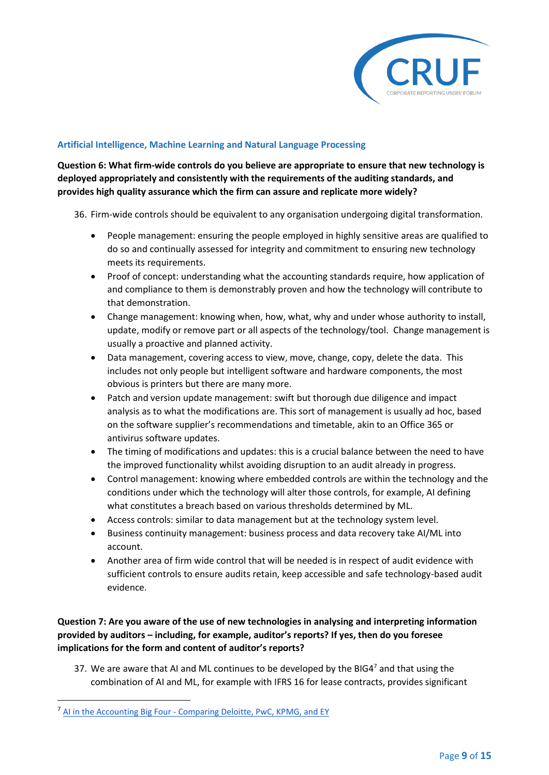

#### **Artificial Intelligence, Machine Learning and Natural Language Processing**

**Question 6: What firm-wide controls do you believe are appropriate to ensure that new technology is deployed appropriately and consistently with the requirements of the auditing standards, and provides high quality assurance which the firm can assure and replicate more widely?**

36. Firm-wide controls should be equivalent to any organisation undergoing digital transformation.

- People management: ensuring the people employed in highly sensitive areas are qualified to do so and continually assessed for integrity and commitment to ensuring new technology meets its requirements.
- Proof of concept: understanding what the accounting standards require, how application of and compliance to them is demonstrably proven and how the technology will contribute to that demonstration.
- Change management: knowing when, how, what, why and under whose authority to install, update, modify or remove part or all aspects of the technology/tool. Change management is usually a proactive and planned activity.
- Data management, covering access to view, move, change, copy, delete the data. This includes not only people but intelligent software and hardware components, the most obvious is printers but there are many more.
- Patch and version update management: swift but thorough due diligence and impact analysis as to what the modifications are. This sort of management is usually ad hoc, based on the software supplier's recommendations and timetable, akin to an Office 365 or antivirus software updates.
- The timing of modifications and updates: this is a crucial balance between the need to have the improved functionality whilst avoiding disruption to an audit already in progress.
- Control management: knowing where embedded controls are within the technology and the conditions under which the technology will alter those controls, for example, AI defining what constitutes a breach based on various thresholds determined by ML.
- Access controls: similar to data management but at the technology system level.
- Business continuity management: business process and data recovery take AI/ML into account.
- Another area of firm wide control that will be needed is in respect of audit evidence with sufficient controls to ensure audits retain, keep accessible and safe technology-based audit evidence.

# **Question 7: Are you aware of the use of new technologies in analysing and interpreting information provided by auditors – including, for example, auditor's reports? If yes, then do you foresee implications for the form and content of auditor's reports?**

37. We are aware that AI and ML continues to be developed by the BIG4 $^7$  and that using the combination of AI and ML, for example with IFRS 16 for lease contracts, provides significant

<sup>7</sup> AI in the Accounting Big Four - [Comparing Deloitte, PwC, KPMG, and EY](https://emerj.com/ai-sector-overviews/ai-in-the-accounting-big-four-comparing-deloitte-pwc-kpmg-and-ey/)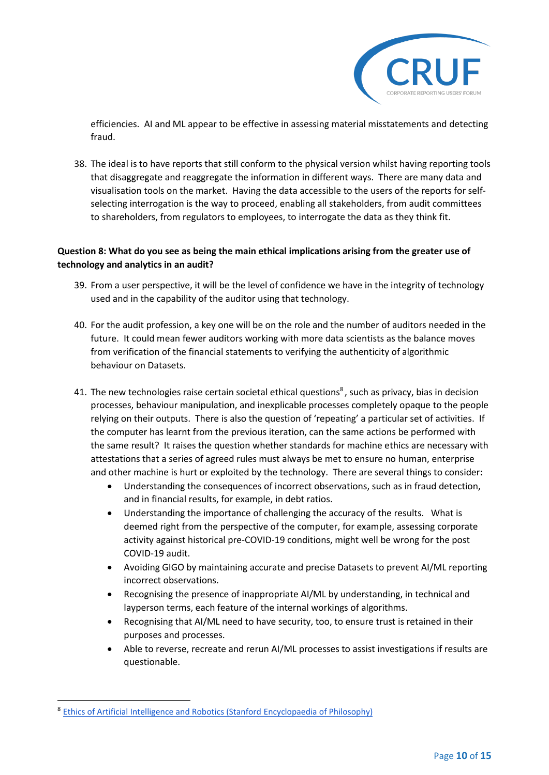

efficiencies. AI and ML appear to be effective in assessing material misstatements and detecting fraud.

38. The ideal is to have reports that still conform to the physical version whilst having reporting tools that disaggregate and reaggregate the information in different ways. There are many data and visualisation tools on the market. Having the data accessible to the users of the reports for selfselecting interrogation is the way to proceed, enabling all stakeholders, from audit committees to shareholders, from regulators to employees, to interrogate the data as they think fit.

### **Question 8: What do you see as being the main ethical implications arising from the greater use of technology and analytics in an audit?**

- 39. From a user perspective, it will be the level of confidence we have in the integrity of technology used and in the capability of the auditor using that technology.
- 40. For the audit profession, a key one will be on the role and the number of auditors needed in the future. It could mean fewer auditors working with more data scientists as the balance moves from verification of the financial statements to verifying the authenticity of algorithmic behaviour on Datasets.
- 41. The new technologies raise certain societal ethical questions<sup>8</sup>, such as privacy, bias in decision processes, behaviour manipulation, and inexplicable processes completely opaque to the people relying on their outputs. There is also the question of 'repeating' a particular set of activities. If the computer has learnt from the previous iteration, can the same actions be performed with the same result? It raises the question whether standards for machine ethics are necessary with attestations that a series of agreed rules must always be met to ensure no human, enterprise and other machine is hurt or exploited by the technology. There are several things to consider**:**
	- Understanding the consequences of incorrect observations, such as in fraud detection, and in financial results, for example, in debt ratios.
	- Understanding the importance of challenging the accuracy of the results. What is deemed right from the perspective of the computer, for example, assessing corporate activity against historical pre-COVID-19 conditions, might well be wrong for the post COVID-19 audit.
	- Avoiding GIGO by maintaining accurate and precise Datasets to prevent AI/ML reporting incorrect observations.
	- Recognising the presence of inappropriate AI/ML by understanding, in technical and layperson terms, each feature of the internal workings of algorithms.
	- Recognising that AI/ML need to have security, too, to ensure trust is retained in their purposes and processes.
	- Able to reverse, recreate and rerun AI/ML processes to assist investigations if results are questionable.

<sup>&</sup>lt;sup>8</sup> [Ethics of Artificial Intelligence and Robotics \(Stanford Encyclopaedia](https://plato.stanford.edu/entries/ethics-ai/) of Philosophy)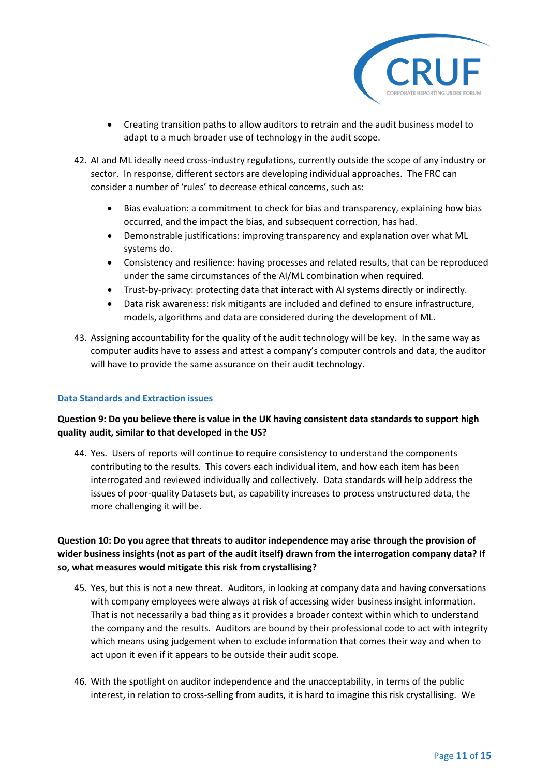

- Creating transition paths to allow auditors to retrain and the audit business model to adapt to a much broader use of technology in the audit scope.
- 42. AI and ML ideally need cross-industry regulations, currently outside the scope of any industry or sector. In response, different sectors are developing individual approaches. The FRC can consider a number of 'rules' to decrease ethical concerns, such as:
	- Bias evaluation: a commitment to check for bias and transparency, explaining how bias occurred, and the impact the bias, and subsequent correction, has had.
	- Demonstrable justifications: improving transparency and explanation over what ML systems do.
	- Consistency and resilience: having processes and related results, that can be reproduced under the same circumstances of the AI/ML combination when required.
	- Trust-by-privacy: protecting data that interact with AI systems directly or indirectly.
	- Data risk awareness: risk mitigants are included and defined to ensure infrastructure, models, algorithms and data are considered during the development of ML.
- 43. Assigning accountability for the quality of the audit technology will be key. In the same way as computer audits have to assess and attest a company's computer controls and data, the auditor will have to provide the same assurance on their audit technology.

### **Data Standards and Extraction issues**

# **Question 9: Do you believe there is value in the UK having consistent data standards to support high quality audit, similar to that developed in the US?**

44. Yes. Users of reports will continue to require consistency to understand the components contributing to the results. This covers each individual item, and how each item has been interrogated and reviewed individually and collectively. Data standards will help address the issues of poor-quality Datasets but, as capability increases to process unstructured data, the more challenging it will be.

# **Question 10: Do you agree that threats to auditor independence may arise through the provision of wider business insights (not as part of the audit itself) drawn from the interrogation company data? If so, what measures would mitigate this risk from crystallising?**

- 45. Yes, but this is not a new threat. Auditors, in looking at company data and having conversations with company employees were always at risk of accessing wider business insight information. That is not necessarily a bad thing as it provides a broader context within which to understand the company and the results. Auditors are bound by their professional code to act with integrity which means using judgement when to exclude information that comes their way and when to act upon it even if it appears to be outside their audit scope.
- 46. With the spotlight on auditor independence and the unacceptability, in terms of the public interest, in relation to cross-selling from audits, it is hard to imagine this risk crystallising. We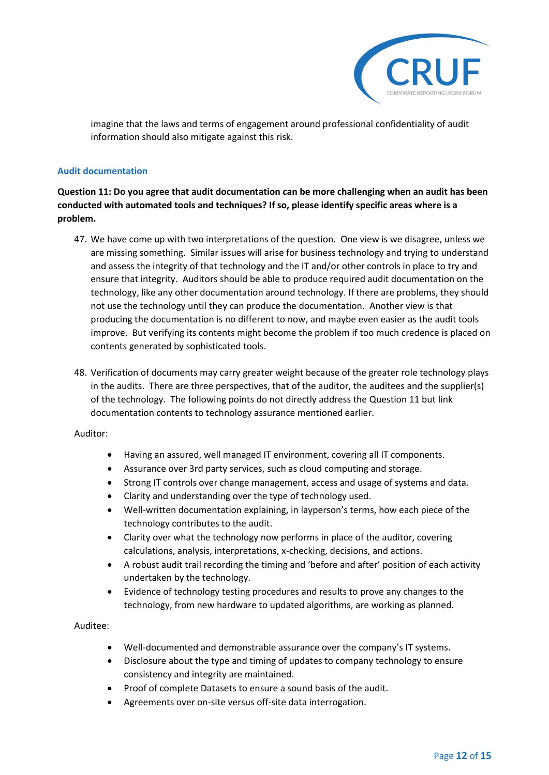

imagine that the laws and terms of engagement around professional confidentiality of audit information should also mitigate against this risk.

#### **Audit documentation**

**Question 11: Do you agree that audit documentation can be more challenging when an audit has been conducted with automated tools and techniques? If so, please identify specific areas where is a problem.**

- 47. We have come up with two interpretations of the question. One view is we disagree, unless we are missing something. Similar issues will arise for business technology and trying to understand and assess the integrity of that technology and the IT and/or other controls in place to try and ensure that integrity. Auditors should be able to produce required audit documentation on the technology, like any other documentation around technology. If there are problems, they should not use the technology until they can produce the documentation. Another view is that producing the documentation is no different to now, and maybe even easier as the audit tools improve. But verifying its contents might become the problem if too much credence is placed on contents generated by sophisticated tools.
- 48. Verification of documents may carry greater weight because of the greater role technology plays in the audits. There are three perspectives, that of the auditor, the auditees and the supplier(s) of the technology. The following points do not directly address the Question 11 but link documentation contents to technology assurance mentioned earlier.

#### Auditor:

- Having an assured, well managed IT environment, covering all IT components.
- Assurance over 3rd party services, such as cloud computing and storage.
- Strong IT controls over change management, access and usage of systems and data.
- Clarity and understanding over the type of technology used.
- Well-written documentation explaining, in layperson's terms, how each piece of the technology contributes to the audit.
- Clarity over what the technology now performs in place of the auditor, covering calculations, analysis, interpretations, x-checking, decisions, and actions.
- A robust audit trail recording the timing and 'before and after' position of each activity undertaken by the technology.
- Evidence of technology testing procedures and results to prove any changes to the technology, from new hardware to updated algorithms, are working as planned.

#### Auditee:

- Well-documented and demonstrable assurance over the company's IT systems.
- Disclosure about the type and timing of updates to company technology to ensure consistency and integrity are maintained.
- Proof of complete Datasets to ensure a sound basis of the audit.
- Agreements over on-site versus off-site data interrogation.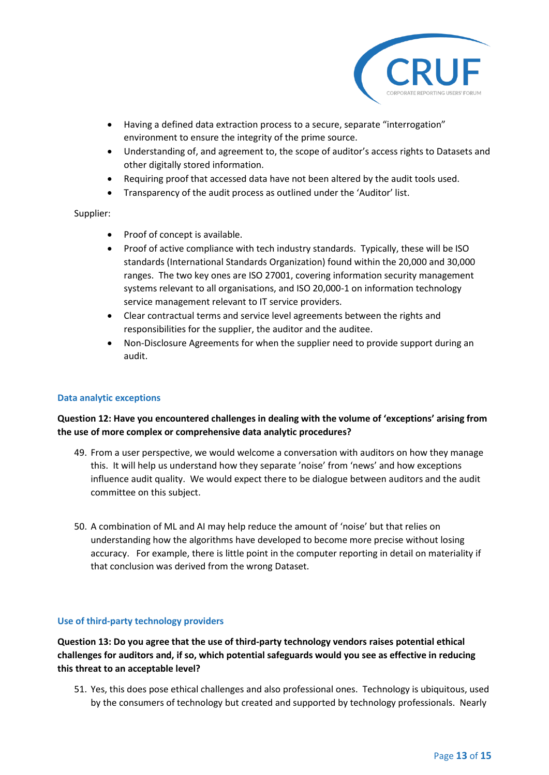

- Having a defined data extraction process to a secure, separate "interrogation" environment to ensure the integrity of the prime source.
- Understanding of, and agreement to, the scope of auditor's access rights to Datasets and other digitally stored information.
- Requiring proof that accessed data have not been altered by the audit tools used.
- Transparency of the audit process as outlined under the 'Auditor' list.

### Supplier:

- Proof of concept is available.
- Proof of active compliance with tech industry standards. Typically, these will be ISO standards (International Standards Organization) found within the 20,000 and 30,000 ranges. The two key ones are ISO 27001, covering information security management systems relevant to all organisations, and ISO 20,000-1 on information technology service management relevant to IT service providers.
- Clear contractual terms and service level agreements between the rights and responsibilities for the supplier, the auditor and the auditee.
- Non-Disclosure Agreements for when the supplier need to provide support during an audit.

### **Data analytic exceptions**

### **Question 12: Have you encountered challenges in dealing with the volume of 'exceptions' arising from the use of more complex or comprehensive data analytic procedures?**

- 49. From a user perspective, we would welcome a conversation with auditors on how they manage this. It will help us understand how they separate 'noise' from 'news' and how exceptions influence audit quality. We would expect there to be dialogue between auditors and the audit committee on this subject.
- 50. A combination of ML and AI may help reduce the amount of 'noise' but that relies on understanding how the algorithms have developed to become more precise without losing accuracy. For example, there is little point in the computer reporting in detail on materiality if that conclusion was derived from the wrong Dataset.

#### **Use of third-party technology providers**

**Question 13: Do you agree that the use of third-party technology vendors raises potential ethical challenges for auditors and, if so, which potential safeguards would you see as effective in reducing this threat to an acceptable level?**

51. Yes, this does pose ethical challenges and also professional ones. Technology is ubiquitous, used by the consumers of technology but created and supported by technology professionals. Nearly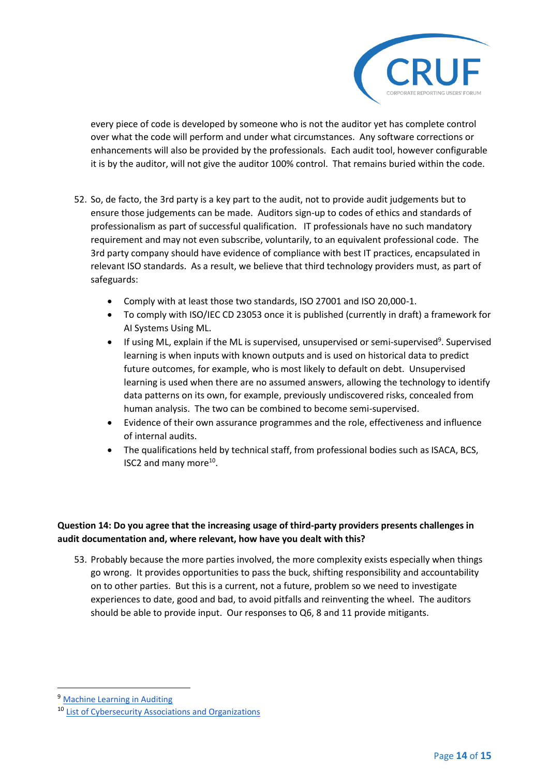

every piece of code is developed by someone who is not the auditor yet has complete control over what the code will perform and under what circumstances. Any software corrections or enhancements will also be provided by the professionals. Each audit tool, however configurable it is by the auditor, will not give the auditor 100% control. That remains buried within the code.

- 52. So, de facto, the 3rd party is a key part to the audit, not to provide audit judgements but to ensure those judgements can be made. Auditors sign-up to codes of ethics and standards of professionalism as part of successful qualification. IT professionals have no such mandatory requirement and may not even subscribe, voluntarily, to an equivalent professional code. The 3rd party company should have evidence of compliance with best IT practices, encapsulated in relevant ISO standards. As a result, we believe that third technology providers must, as part of safeguards:
	- Comply with at least those two standards, ISO 27001 and ISO 20,000-1.
	- To comply with ISO/IEC CD 23053 once it is published (currently in draft) a framework for AI Systems Using ML.
	- If using ML, explain if the ML is supervised, unsupervised or semi-supervised<sup>9</sup>. Supervised learning is when inputs with known outputs and is used on historical data to predict future outcomes, for example, who is most likely to default on debt. Unsupervised learning is used when there are no assumed answers, allowing the technology to identify data patterns on its own, for example, previously undiscovered risks, concealed from human analysis. The two can be combined to become semi-supervised.
	- Evidence of their own assurance programmes and the role, effectiveness and influence of internal audits.
	- The qualifications held by technical staff, from professional bodies such as ISACA, BCS, ISC2 and many more<sup>10</sup>.

# **Question 14: Do you agree that the increasing usage of third-party providers presents challenges in audit documentation and, where relevant, how have you dealt with this?**

53. Probably because the more parties involved, the more complexity exists especially when things go wrong. It provides opportunities to pass the buck, shifting responsibility and accountability on to other parties. But this is a current, not a future, problem so we need to investigate experiences to date, good and bad, to avoid pitfalls and reinventing the wheel. The auditors should be able to provide input. Our responses to Q6, 8 and 11 provide mitigants.

<sup>&</sup>lt;sup>9</sup> [Machine Learning in Auditing](https://www.cpajournal.com/2019/06/19/machine-learning-in-auditing/)

<sup>10</sup> [List of Cybersecurity Associations and Organizations](https://cybersecurityventures.com/cybersecurity-associations/)